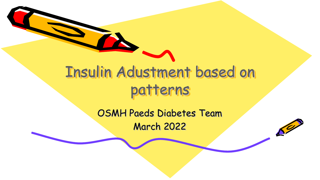

OSMH Paeds Diabetes Team March 2022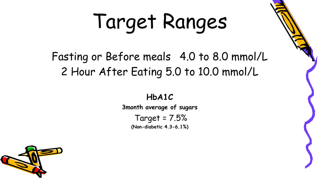# Target Ranges

#### Fasting or Before meals 4.0 to 8.0 mmol/L 2 Hour After Eating 5.0 to 10.0 mmol/L

**HbA1C 3month average of sugars** Target = 7.5% **(Non-diabetic 4.3-6.1%)**

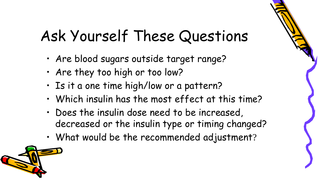## Ask Yourself These Questions

- Are blood sugars outside target range?
- Are they too high or too low?
- Is it a one time high/low or a pattern?
- Which insulin has the most effect at this time?
- Does the insulin dose need to be increased, decreased or the insulin type or timing changed?
- What would be the recommended adjustment?

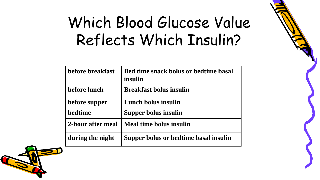## Which Blood Glucose Value Reflects Which Insulin?

| <b>hefore breakfast</b> | <b>Bed time snack bolus or bedtime basal</b><br>insulin |
|-------------------------|---------------------------------------------------------|
| before lunch            | <b>Breakfast bolus insulin</b>                          |
| before supper           | Lunch bolus insulin                                     |
| bedtime                 | Supper bolus insulin                                    |
| 2-hour after meal       | Meal time bolus insulin                                 |
| during the night        | Supper bolus or bedtime basal insulin                   |

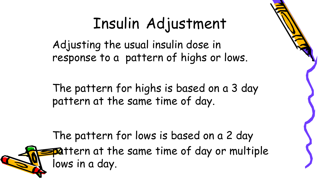## Insulin Adjustment

Adjusting the usual insulin dose in response to a pattern of highs or lows.

The pattern for highs is based on a 3 day pattern at the same time of day.

The pattern for lows is based on a 2 day **pattern at the same time of day or multiple** lows in a day.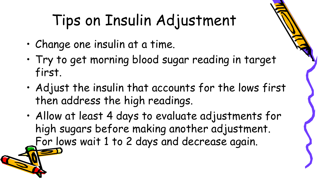## Tips on Insulin Adjustment

- Change one insulin at a time.
- Try to get morning blood sugar reading in target first.
- Adjust the insulin that accounts for the lows first then address the high readings.
- Allow at least 4 days to evaluate adjustments for high sugars before making another adjustment. For lows wait 1 to 2 days and decrease again.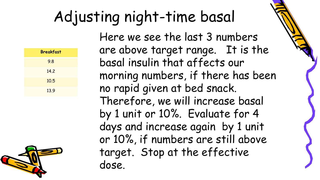## Adjusting night-time basal

| <b>Breakfast</b> |  |  |
|------------------|--|--|
|                  |  |  |
|                  |  |  |
|                  |  |  |
|                  |  |  |
|                  |  |  |



Here we see the last 3 numbers are above target range. It is the basal insulin that affects our morning numbers, if there has been no rapid given at bed snack. Therefore, we will increase basal by 1 unit or 10%. Evaluate for 4 days and increase again by 1 unit or 10%, if numbers are still above target. Stop at the effective dose.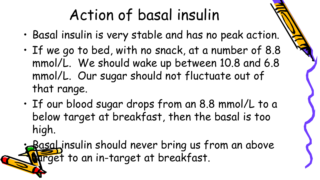## Action of basal insulin

- Basal insulin is very stable and has no peak action.
- If we go to bed, with no snack, at a number of 8.8 mmol/L. We should wake up between 10.8 and 6.8 mmol/L. Our sugar should not fluctuate out of that range.
- If our blood sugar drops from an 8.8 mmol/L to a below target at breakfast, then the basal is too high.

• Basal insulin should never bring us from an above arget to an in-target at breakfast.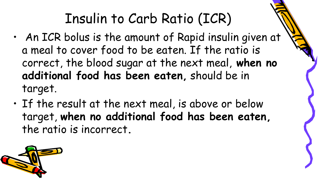- An ICR bolus is the amount of Rapid insulin given at a meal to cover food to be eaten. If the ratio is correct, the blood sugar at the next meal, **when no additional food has been eaten,** should be in target.
- If the result at the next meal, is above or below target, **when no additional food has been eaten,**  the ratio is incorrect**.**

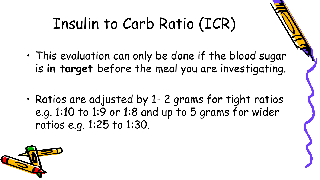- This evaluation can only be done if the blood sugar is **in target** before the meal you are investigating.
- Ratios are adjusted by 1- 2 grams for tight ratios e.g. 1:10 to 1:9 or 1:8 and up to 5 grams for wider ratios e.g. 1:25 to 1:30.

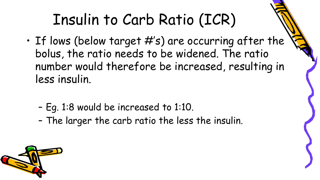- $\cdot$  If lows (below target  $\#$ 's) are occurring after the bolus, the ratio needs to be widened. The ratio number would therefore be increased, resulting in less insulin.
	- Eg. 1:8 would be increased to 1:10.
	- The larger the carb ratio the less the insulin.

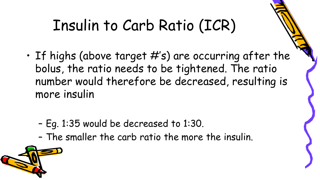- If highs (above target  $#s$ ) are occurring after the bolus, the ratio needs to be tightened. The ratio number would therefore be decreased, resulting is more insulin
	- Eg. 1:35 would be decreased to 1:30.
	- The smaller the carb ratio the more the insulin.

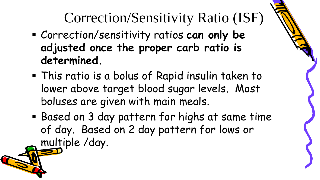Correction/Sensitivity Ratio (ISF)

- Correction/sensitivity ratios **can only be adjusted once the proper carb ratio is determined.**
- This ratio is a bolus of Rapid insulin taken to lower above target blood sugar levels. Most boluses are given with main meals.
- Based on 3 day pattern for highs at same time of day. Based on 2 day pattern for lows or multiple /day.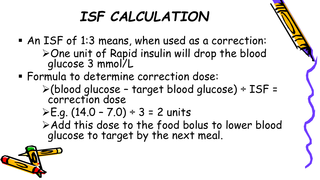#### *ISF CALCULATION*

- An ISF of 1:3 means, when used as a correction: One unit of Rapid insulin will drop the blood glucose 3 mmol/L
- Formula to determine correction dose:
	- (blood glucose target blood glucose) ÷ ISF = correction dose

▶E.g. 
$$
(14.0 - 7.0) \div 3 = 2
$$
 units

Add this dose to the food bolus to lower blood glucose to target by the next meal.

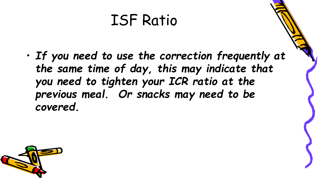#### ISF Ratio

• *If you need to use the correction frequently at the same time of day, this may indicate that you need to tighten your ICR ratio at the previous meal. Or snacks may need to be covered.* 

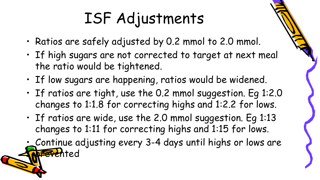## ISF Adjustments

- Ratios are safely adjusted by 0.2 mmol to 2.0 mmol.
- If high sugars are not corrected to target at next meal the ratio would be tightened.
- If low sugars are happening, ratios would be widened.
- If ratios are tight, use the 0.2 mmol suggestion. Eg 1:2.0 changes to 1:1.8 for correcting highs and 1:2.2 for lows.
- If ratios are wide, use the 2.0 mmol suggestion. Eg 1:13 changes to 1:11 for correcting highs and 1:15 for lows.
- Continue adjusting every 3-4 days until highs or lows are prevented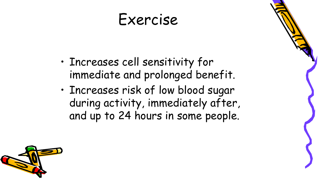- Increases cell sensitivity for immediate and prolonged benefit.
- Increases risk of low blood sugar during activity, immediately after, and up to 24 hours in some people.

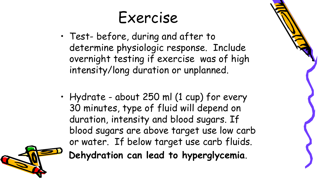- Test- before, during and after to determine physiologic response. Include overnight testing if exercise was of high intensity/long duration or unplanned.
- Hydrate about 250 ml (1 cup) for every 30 minutes, type of fluid will depend on duration, intensity and blood sugars. If blood sugars are above target use low carb or water. If below target use carb fluids. **Dehydration can lead to hyperglycemia**.

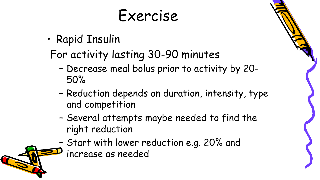- Rapid Insulin
	- For activity lasting 30-90 minutes
		- Decrease meal bolus prior to activity by 20- 50%
		- Reduction depends on duration, intensity, type and competition
		- Several attempts maybe needed to find the right reduction
		- Start with lower reduction e.g. 20% and increase as needed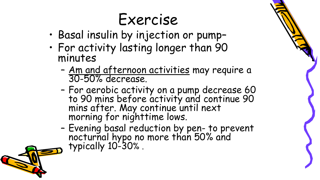- Basal insulin by injection or pump–
- For activity lasting longer than 90 minutes
	- Am and afternoon activities may require a 30-50% decrease.
	- For aerobic activity on a pump decrease 60 to 90 mins before activity and continue 90 mins after. May continue until next morning for nighttime lows.
	- Evening basal reduction by pen- to prevent nocturnal hypo no more than 50% and typically 10-30% .